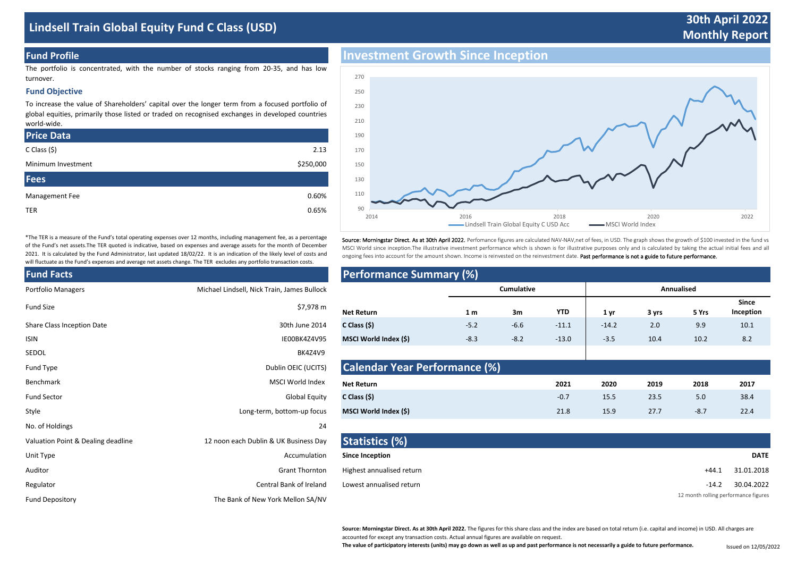# **Lindsell Train Global Equity Fund C Class (USD)**

# **30th April 2022 Monthly Report**

### **Fund Profile**

The portfolio is concentrated, with the number of stocks ranging from 20-35, and has low turnover.

#### **Fund Objective**

To increase the value of Shareholders' capital over the longer term from a focused portfolio of global equities, primarily those listed or traded on recognised exchanges in developed countries world-wide.

| <b>Price Data</b>  |           |
|--------------------|-----------|
| $C$ Class $(5)$    | 2.13      |
| Minimum Investment | \$250,000 |
| <b>Fees</b>        |           |
| Management Fee     | 0.60%     |
| <b>TER</b>         | 0.65%     |
|                    |           |

\*The TER is a measure of the Fund's total operating expenses over 12 months, including management fee, as a percentage of the Fund's net assets.The TER quoted is indicative, based on expenses and average assets for the month of December 2021. It is calculated by the Fund Administrator, last updated 18/02/22. It is an indication of the likely level of costs and will fluctuate as the Fund's expenses and average net assets change. The TER excludes any portfolio transaction costs.

| <b>Fund Facts</b>                  |                                             | <b>Performance Summary (%)</b>   |                |
|------------------------------------|---------------------------------------------|----------------------------------|----------------|
| <b>Portfolio Managers</b>          | Michael Lindsell, Nick Train, James Bullock |                                  |                |
| <b>Fund Size</b>                   | \$7,978 m                                   | <b>Net Return</b>                | 1 <sub>m</sub> |
| Share Class Inception Date         | 30th June 2014                              | C Class $(5)$                    | $-5.2$         |
| <b>ISIN</b>                        | IE00BK4Z4V95                                | MSCI World Index (\$)            | $-8.3$         |
| SEDOL                              | BK4Z4V9                                     |                                  |                |
| Fund Type                          | Dublin OEIC (UCITS)                         | <b>Calendar Year Performance</b> |                |
| Benchmark                          | MSCI World Index                            | <b>Net Return</b>                |                |
| <b>Fund Sector</b>                 | <b>Global Equity</b>                        | C Class $(5)$                    |                |
| Style                              | Long-term, bottom-up focus                  | MSCI World Index (\$)            |                |
| No. of Holdings                    | 24                                          |                                  |                |
| Valuation Point & Dealing deadline | 12 noon each Dublin & UK Business Day       | Statistics (%)                   |                |
| Unit Type                          | Accumulation                                | <b>Since Inception</b>           |                |
| Auditor                            | <b>Grant Thornton</b>                       | Highest annualised return        |                |
| Regulator                          | Central Bank of Ireland                     | Lowest annualised return         |                |
| <b>Fund Depository</b>             | The Bank of New York Mellon SA/NV           |                                  |                |
|                                    |                                             |                                  |                |



Source: Morningstar Direct. As at 30th April 2022. Perfomance figures are calculated NAV-NAV,net of fees, in USD. The graph shows the growth of \$100 invested in the fund vs MSCI World since inception.The illustrative investment performance which is shown is for illustrative purposes only and is calculated by taking the actual initial fees and all ongoing fees into account for the amount shown. Income is reinvested on the reinvestment date. Past performance is not a guide to future performance.

| <b>Fund Facts</b>                  |                                             | <b>Performance Summary (%)</b>       |                |            |            |         |       |            |                    |
|------------------------------------|---------------------------------------------|--------------------------------------|----------------|------------|------------|---------|-------|------------|--------------------|
| Portfolio Managers                 | Michael Lindsell, Nick Train, James Bullock |                                      |                | Cumulative |            |         |       | Annualised |                    |
| <b>Fund Size</b>                   | \$7,978 m                                   | <b>Net Return</b>                    | 1 <sub>m</sub> | 3m         | <b>YTD</b> | 1 yr    | 3 yrs | 5 Yrs      | Since<br>Inception |
| <b>Share Class Inception Date</b>  | 30th June 2014                              | C Class $(5)$                        | $-5.2$         | $-6.6$     | $-11.1$    | $-14.2$ | 2.0   | 9.9        | 10.1               |
| <b>ISIN</b>                        | IE00BK4Z4V95                                | MSCI World Index (\$)                | $-8.3$         | $-8.2$     | $-13.0$    | $-3.5$  | 10.4  | 10.2       | 8.2                |
| SEDOL                              | BK4Z4V9                                     |                                      |                |            |            |         |       |            |                    |
| Fund Type                          | Dublin OEIC (UCITS)                         | <b>Calendar Year Performance (%)</b> |                |            |            |         |       |            |                    |
| <b>Benchmark</b>                   | MSCI World Index                            | <b>Net Return</b>                    |                |            | 2021       | 2020    | 2019  | 2018       | 2017               |
| <b>Fund Sector</b>                 | <b>Global Equity</b>                        | C Class (5)                          |                |            | $-0.7$     | 15.5    | 23.5  | 5.0        | 38.4               |
| Style                              | Long-term, bottom-up focus                  | MSCI World Index (\$)                |                |            | 21.8       | 15.9    | 27.7  | $-8.7$     | 22.4               |
| No. of Holdings                    | 24                                          |                                      |                |            |            |         |       |            |                    |
| Valuation Point & Dealing deadline | 12 noon each Dublin & LIK Business Day      | Statictics (%)                       |                |            |            |         |       |            |                    |

|                                                                                                                                                                                                                                | <u><b>Example 1999</b></u> <b>Contract Contract Contract Contract Contract Contract Contract Contract Contract Contract Contract Contract Contract Contract Contract Contract Contract Contract Contract Contract Contract Contract Contra</b> |                           |                                      |
|--------------------------------------------------------------------------------------------------------------------------------------------------------------------------------------------------------------------------------|------------------------------------------------------------------------------------------------------------------------------------------------------------------------------------------------------------------------------------------------|---------------------------|--------------------------------------|
| Unit Type                                                                                                                                                                                                                      | Accumulation                                                                                                                                                                                                                                   | <b>Since Inception</b>    | <b>DATE</b>                          |
| Auditor                                                                                                                                                                                                                        | <b>Grant Thornton</b>                                                                                                                                                                                                                          | Highest annualised return | 31.01.2018<br>$+44.1$                |
| Regulator                                                                                                                                                                                                                      | Central Bank of Ireland                                                                                                                                                                                                                        | Lowest annualised return  | 30.04.2022<br>$-14.2$                |
| march in the contract of the contract of the contract of the contract of the contract of the contract of the contract of the contract of the contract of the contract of the contract of the contract of the contract of the c | $\tau$ by $\sigma$ and $\tau$ finishing $\tau$ and $\tau$ and $\tau$ and $\tau$                                                                                                                                                                |                           | 12 month rolling performance figures |

**Source: Morningstar Direct. As at 30th April 2022.** The figures for this share class and the index are based on total return (i.e. capital and income) in USD. All charges are accounted for except any transaction costs. Actual annual figures are available on request.

**The value of participatory interests (units) may go down as well as up and past performance is not necessarily a guide to future performance.** 

Issued on 12/05/2022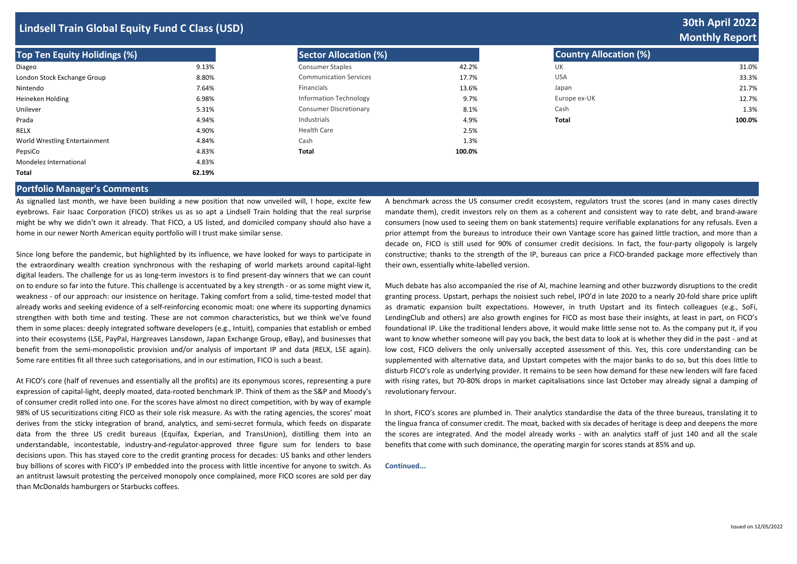## **Lindsell Train Global Equity Fund C Class (USD)**

| <b>Top Ten Equity Holidings (%)</b> |        | <b>Sector Allocation (%)</b>  |        | <b>Country Allocation (%)</b> |        |
|-------------------------------------|--------|-------------------------------|--------|-------------------------------|--------|
| Diageo                              | 9.13%  | <b>Consumer Staples</b>       | 42.2%  | UK                            | 31.0%  |
| London Stock Exchange Group         | 8.80%  | <b>Communication Services</b> | 17.7%  | <b>USA</b>                    | 33.3%  |
| Nintendo                            | 7.64%  | Financials                    | 13.6%  | Japan                         | 21.7%  |
| Heineken Holding                    | 6.98%  | <b>Information Technology</b> | 9.7%   | Europe ex-UK                  | 12.7%  |
| Unilever                            | 5.31%  | <b>Consumer Discretionary</b> | 8.1%   | Cash                          | 1.3%   |
| Prada                               | 4.94%  | Industrials                   | 4.9%   | Total                         | 100.0% |
| RELX                                | 4.90%  | <b>Health Care</b>            | 2.5%   |                               |        |
| World Wrestling Entertainment       | 4.84%  | Cash                          | 1.3%   |                               |        |
| PepsiCo                             | 4.83%  | Total                         | 100.0% |                               |        |
| Mondelez International              | 4.83%  |                               |        |                               |        |
| Total                               | 62.19% |                               |        |                               |        |

| Sector Allocation (%)         |        |
|-------------------------------|--------|
| <b>Consumer Staples</b>       | 42.2%  |
| <b>Communication Services</b> | 17.7%  |
| Financials                    | 13.6%  |
| <b>Information Technology</b> | 9.7%   |
| <b>Consumer Discretionary</b> | 8.1%   |
| Industrials                   | 4.9%   |
| Health Care                   | 2.5%   |
| Cash                          | 1.3%   |
| Total                         | 100.0% |

## **30th April 2022 Monthly Report**

| <b>Country Allocation (%)</b> |        |
|-------------------------------|--------|
| UK                            | 31.0%  |
| <b>USA</b>                    | 33.3%  |
| Japan                         | 21.7%  |
| Europe ex-UK                  | 12.7%  |
| Cash                          | 1.3%   |
| Total                         | 100.0% |

### **Portfolio Manager's Comments**

As signalled last month, we have been building a new position that now unveiled will, I hope, excite few eyebrows. Fair Isaac Corporation (FICO) strikes us as so apt a Lindsell Train holding that the real surprise might be why we didn't own it already. That FICO, a US listed, and domiciled company should also have a home in our newer North American equity portfolio will I trust make similar sense.

Since long before the pandemic, but highlighted by its influence, we have looked for ways to participate in the extraordinary wealth creation synchronous with the reshaping of world markets around capital-light digital leaders. The challenge for us as long-term investors is to find present-day winners that we can count on to endure so far into the future. This challenge is accentuated by a key strength - or as some might view it, weakness - of our approach: our insistence on heritage. Taking comfort from a solid, time-tested model that already works and seeking evidence of a self-reinforcing economic moat: one where its supporting dynamics strengthen with both time and testing. These are not common characteristics, but we think we've found them in some places: deeply integrated software developers (e.g., Intuit), companies that establish or embed into their ecosystems (LSE, PayPal, Hargreaves Lansdown, Japan Exchange Group, eBay), and businesses that benefit from the semi-monopolistic provision and/or analysis of important IP and data (RELX, LSE again). Some rare entities fit all three such categorisations, and in our estimation, FICO is such a beast.

At FICO's core (half of revenues and essentially all the profits) are its eponymous scores, representing a pure expression of capital-light, deeply moated, data-rooted benchmark IP. Think of them as the S&P and Moody's of consumer credit rolled into one. For the scores have almost no direct competition, with by way of example 98% of US securitizations citing FICO as their sole risk measure. As with the rating agencies, the scores' moat derives from the sticky integration of brand, analytics, and semi-secret formula, which feeds on disparate data from the three US credit bureaus (Equifax, Experian, and TransUnion), distilling them into an understandable, incontestable, industry-and-regulator-approved three figure sum for lenders to base decisions upon. This has stayed core to the credit granting process for decades: US banks and other lenders buy billions of scores with FICO's IP embedded into the process with little incentive for anyone to switch. As an antitrust lawsuit protesting the perceived monopoly once complained, more FICO scores are sold per day than McDonalds hamburgers or Starbucks coffees.

A benchmark across the US consumer credit ecosystem, regulators trust the scores (and in many cases directly mandate them), credit investors rely on them as a coherent and consistent way to rate debt, and brand-aware consumers (now used to seeing them on bank statements) require verifiable explanations for any refusals. Even a prior attempt from the bureaus to introduce their own Vantage score has gained little traction, and more than a decade on, FICO is still used for 90% of consumer credit decisions. In fact, the four-party oligopoly is largely constructive; thanks to the strength of the IP, bureaus can price a FICO-branded package more effectively than their own, essentially white-labelled version.

Much debate has also accompanied the rise of AI, machine learning and other buzzwordy disruptions to the credit granting process. Upstart, perhaps the noisiest such rebel, IPO'd in late 2020 to a nearly 20-fold share price uplift as dramatic expansion built expectations. However, in truth Upstart and its fintech colleagues (e.g., SoFi, LendingClub and others) are also growth engines for FICO as most base their insights, at least in part, on FICO's foundational IP. Like the traditional lenders above, it would make little sense not to. As the company put it, if you want to know whether someone will pay you back, the best data to look at is whether they did in the past - and at low cost, FICO delivers the only universally accepted assessment of this. Yes, this core understanding can be supplemented with alternative data, and Upstart competes with the major banks to do so, but this does little to disturb FICO's role as underlying provider. It remains to be seen how demand for these new lenders will fare faced with rising rates, but 70-80% drops in market capitalisations since last October may already signal a damping of revolutionary fervour.

In short, FICO's scores are plumbed in. Their analytics standardise the data of the three bureaus, translating it to the lingua franca of consumer credit. The moat, backed with six decades of heritage is deep and deepens the more the scores are integrated. And the model already works - with an analytics staff of just 140 and all the scale benefits that come with such dominance, the operating margin for scores stands at 85% and up.

**Continued...**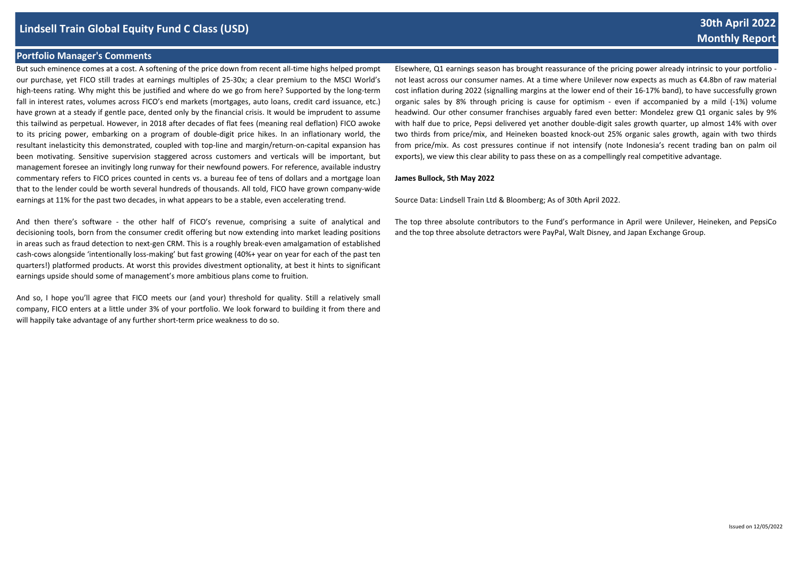## **Lindsell Train Global Equity Fund C Class (USD)**

### **Portfolio Manager's Comments**

But such eminence comes at a cost. A softening of the price down from recent all-time highs helped prompt our purchase, yet FICO still trades at earnings multiples of 25-30x; a clear premium to the MSCI World's high-teens rating. Why might this be justified and where do we go from here? Supported by the long-term fall in interest rates, volumes across FICO's end markets (mortgages, auto loans, credit card issuance, etc.) have grown at a steady if gentle pace, dented only by the financial crisis. It would be imprudent to assume this tailwind as perpetual. However, in 2018 after decades of flat fees (meaning real deflation) FICO awoke to its pricing power, embarking on a program of double-digit price hikes. In an inflationary world, the resultant inelasticity this demonstrated, coupled with top-line and margin/return-on-capital expansion has been motivating. Sensitive supervision staggered across customers and verticals will be important, but management foresee an invitingly long runway for their newfound powers. For reference, available industry commentary refers to FICO prices counted in cents vs. a bureau fee of tens of dollars and a mortgage loan that to the lender could be worth several hundreds of thousands. All told, FICO have grown company-wide earnings at 11% for the past two decades, in what appears to be a stable, even accelerating trend.

And then there's software - the other half of FICO's revenue, comprising a suite of analytical and decisioning tools, born from the consumer credit offering but now extending into market leading positions in areas such as fraud detection to next-gen CRM. This is a roughly break-even amalgamation of established cash-cows alongside 'intentionally loss-making' but fast growing (40%+ year on year for each of the past ten quarters!) platformed products. At worst this provides divestment optionality, at best it hints to significant earnings upside should some of management's more ambitious plans come to fruition.

And so, I hope you'll agree that FICO meets our (and your) threshold for quality. Still a relatively small company, FICO enters at a little under 3% of your portfolio. We look forward to building it from there and will happily take advantage of any further short-term price weakness to do so.

Elsewhere, Q1 earnings season has brought reassurance of the pricing power already intrinsic to your portfolio not least across our consumer names. At a time where Unilever now expects as much as €4.8bn of raw material cost inflation during 2022 (signalling margins at the lower end of their 16-17% band), to have successfully grown organic sales by 8% through pricing is cause for optimism - even if accompanied by a mild (-1%) volume headwind. Our other consumer franchises arguably fared even better: Mondelez grew Q1 organic sales by 9% with half due to price, Pepsi delivered yet another double-digit sales growth quarter, up almost 14% with over two thirds from price/mix, and Heineken boasted knock-out 25% organic sales growth, again with two thirds from price/mix. As cost pressures continue if not intensify (note Indonesia's recent trading ban on palm oil exports), we view this clear ability to pass these on as a compellingly real competitive advantage.

#### **James Bullock, 5th May 2022**

Source Data: Lindsell Train Ltd & Bloomberg; As of 30th April 2022.

The top three absolute contributors to the Fund's performance in April were Unilever, Heineken, and PepsiCo and the top three absolute detractors were PayPal, Walt Disney, and Japan Exchange Group.